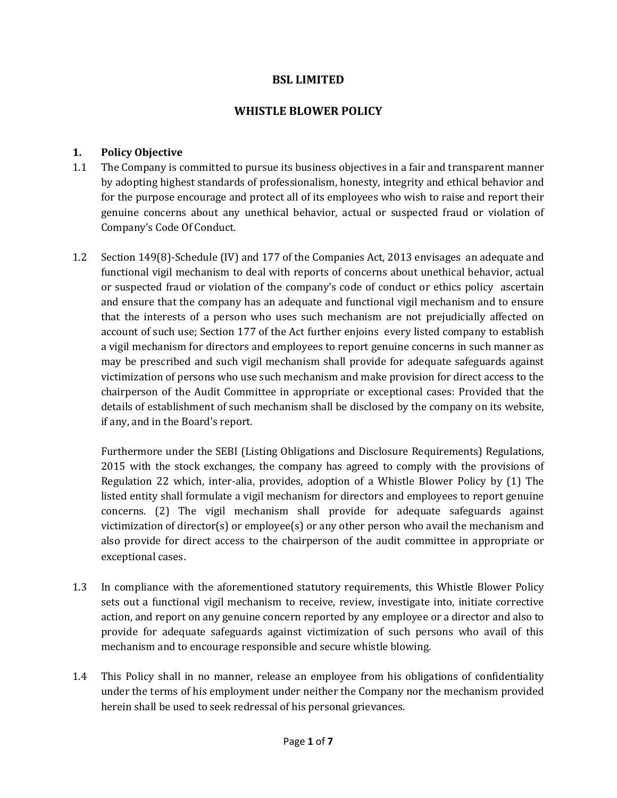# **LIMITED**

## BSL LIMITED<br>WHISTLE BLOWER POLICY

## **Policy Objective** 1.

- Policy Objective<br>The Company is committed to pursue its business objectives in a fair and transparent manner **licy Objective**<br>e Company is committed to pursue its business objectives in a fair and transparent manner<br>adopting highest standards of professionalism, honesty, integrity and ethical behavior and the purpose encomparty of the purpose its business objectives in a fair and transparent manner<br>the purpose standards of professionalism, honesty, integrity and ethical behavior and<br>the purpose encourage and protect all of  $1.1$ i ne Con pany is committed to pursue its business objectives in a fair and transparent manner<br>ing highest standards of professionalism, honesty, integrity and ethical behavior and<br>urpose encourage and protect all of its employees w by adoptin for the purpose encourage and protect all of its employees who wish to raise and report their<br>genuine concerns about any unethical behavior, actual or suspected fraud or violation of genuine concerns about any unethical benavior, actual or suspected fraud or violation of<br>Company's Code Of Conduct.<br>Section 149(8)-Schedule (IV) and 177 of the Companies Act. 2013 envisages an adequate and Company's Code Of Conduct.
- vicode or conduct.<br>9(8)-Schedule (IV) and 177 of the Companies Act, 2013 envisages an adequate and<br>vigil mechanism to deal with reports of concerns about unethical behavior, actual ttion 149(8)-Schedule (IV) and 177 of the Companies Act, 2013 envisages an adequate and<br>intional vigil mechanism to deal with reports of concerns about unethical behavior, actual<br>suspected fraud or violation of the company  $1.2$  $\sec$ from 149(8)-Schedule (IV) and 177 of the companies Act, 2013 envisages an adequate and<br>tional vigil mechanism to deal with reports of concerns about unethical behavior, actual<br>uspected fraud or violation of the company's c runc tional vigil mechanism to deal with reports of concerns about unethical behavior, actual<br>ispected fraud or violation of the company's code of conduct or ethics policy ascertain<br>ensure that the company has an adequate and f or suspected fraud or violation of the company's code of conduct or ethics policy ascertain of such a radiator of the company stream of conduct or ethics policy ascertain<br>interests of a person who uses such mechanism are not prejudicially affected on<br>of such use: Section 177 of the Act further enjoins every liste aid ensure that the company has an adequate and functional vigil mechanism and to ensure<br>lat the interests of a person who uses such mechanism are not prejudicially affected on<br>count of such use; Section 177 of the Act furt that the interests or a person who uses such mechanism are not prejudicially affected on<br>unt of such use; Section 177 of the Act further enjoins every listed company to establish<br>il mechanism for directors and employees to repo account or su of use; section 177 or the Act further enjoins every listed company to establish<br>nism for directors and employees to report genuine concerns in such manner as<br>ribed and such vigil mechanism shall provide for adequate safeg a vigil mechanism for directors and employees to report genuine concerns in such manner as mism for directors and employees to report genune concerns in such manner as<br>cribed and such vigil mechanism shall provide for adequate safeguards against<br>of persons who use such mechanism and make provision for direct acc may p may be prescribed and such vigil mechanism shall provide for adequate safeguards against<br>victimization of persons who use such mechanism and make provision for direct access to the<br>chairperson of the Audit Committee in app chairperson of the Audit Committee in appropriate or exceptional cases: Provided that the details of establishment of such mechanism shall be disclosed by the company on its website, if any, and in the Board's report. details of establishment of such mechanism shall be disclosed by the company on its website,<br>if any, and in the Board's report.<br>Furthermore under the SEBI (Listing Obligations and Disclosure Requirements) Regulations.

and in the Board's report.<br>Permore under the SEBI (Listing Obligations and Disclosure Requirements) Regulations,<br>with the stock exchanges, the company has agreed to comply with the provisions of e under the SEBI (Listing Obligations and Disclosure Requirements) Regulations,<br>the stock exchanges, the company has agreed to comply with the provisions of<br>22 which, inter-alia, provides, adoption of a Whistle Blower Poli rurtn ermore under the SEBI (Listing Obilgations and Disclosure Requirements) Regulations,<br>with the stock exchanges, the company has agreed to comply with the provisions of<br>ation 22 which, inter-alia, provides, adoption of a Whi 2015 with the stock exchanges, the company has agreed to comply with the provisions of the stock exchanges, the company has agreed to comply with the provisions of<br>22 which, inter-alia, provides, adoption of a Whistle Blower Policy by (1) The<br>7 shall formulate a vigil mechanism for directors and employees to kegulation 2 z which, inter-alla, provides, adoption or a whistle Blower Policy by (1) The<br>hall formulate a vigil mechanism for directors and employees to report genuine<br>) The vigil mechanism shall provide for adequate safeguards again liste provide for direct access to the chairperson of the audit committee in appropriate or<br>provide for director(s) or employee(s) or any other person who avail the mechanism and<br>provide for direct access to the chairperson of t concerns. victimization of director(s) or employee(s) or any other person who avail the mechanism and also provide for direct access to the chairperson of the audit committee in appropriate or also provide for direct access to the chairperson or the addit committee in appropriate or<br>exceptional cases.<br>In compliance with the aforementioned statutory requirements, this Whistle Blower Policy exceptional cases.

- puonal cases.<br>ompliance with the aforementioned statutory requirements, this Whistle Blower Policy<br>out a functional vigil mechanism to receive, review, investigate into, initiate corrective pliance with the aforementioned statutory requirements, this Whistle Blower Policy<br>t a functional vigil mechanism to receive, review, investigate into, initiate corrective<br>and report on any genuine concern reported by any  $1.3$ in comp faince with the aforementioned statutory requirements, this whistle Blower Policy<br>a functional vigil mechanism to receive, review, investigate into, initiate corrective<br>ind report on any genuine concern reported by any emp sets out a r action, and report on any genuine concern reported by any employee or a director and also to<br>provide for adequate safeguards against victimization of such persons who avail of this provide for adequate sareguards against victimization or such persons who avail or this<br>mechanism and to encourage responsible and secure whistle blowing.<br>This Policy shall in no manner, release an employee from his obliga mechanism and to encourage responsible a
- nism and to encourage responsible and secure whistle blowing.<br>olicy shall in no manner, release an employee from his obligations of confidentiality<br>the terms of his employment under neither the Company nor the mechanism pr employee from<br>
employee from<br>
personal griev<br> **1** of **7** This Policy shall in no manner, release an employee from his oblit<br>under the terms of his employment under neither the Company nor<br>herein shall be used to seek redressal of his personal grievances. 1.4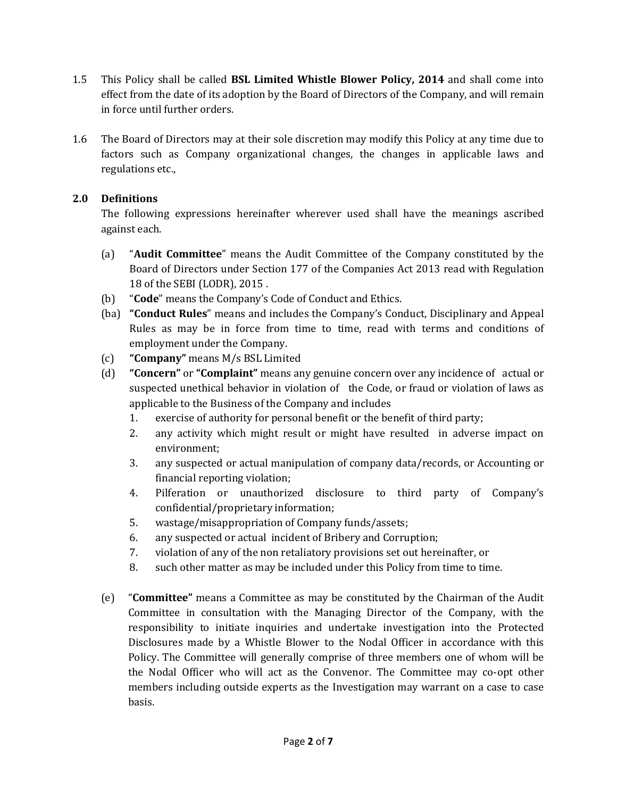- This Policy shall be called **BSL Limited Whistle Blower Policy, <sup>2014</sup>** and shall come into olicy shall be called **BSL Limited Whistle Blower Policy, 2014** and shall come into<br>from the date of its adoption by the Board of Directors of the Company, and will remain 1.5 This Policy shall be called **BSL Limited Whistle Blower Policy, 2014** and shall come into effect from the date of its adoption by the Board of Directors of the Company, and will remain errect rrom the date or its adoption by the Board or Directors or the Company, and will remain<br>in force until further orders.<br>The Board of Directors may at their sole discretion may modify this Policy at any time due to in force until further orders.
- until further orders.<br>rd of Directors may at their sole discretion may modify this Policy at any time due to<br>such as Company organizational changes, the changes in applicable laws and 1.6 The Board of Direct<br>factors such as C<br>regulations etc.. ractors sucn as Co<br>regulations etc.,<br>**Definitions** regi

## 2.0 Definitions

ations etc.,<br>**iitions**<br>following expressions hereinafter wherever used shall have the meanings ascribed **Definitions**<br>The following e<br>against each. ollowing expressions hereinafter wherever used shall have the meanings ascribed<br>it each.<br>"**Audit Committee**" means the Audit Committee of the Company constituted by the against each.

- **Committee**" means the Audit Committee of the Company constituted by the<br>of Directors under Section 177 of the Companies Act 2013 read with Regulation (a) **"Audit Committee"** means the Auding Board of Directors under Section 177<br>18 of the SEBI (LODR), 2015 <sup>2</sup> (a) "Audit Committee" means the Audit Committee of the Company constituted by the Board of Directors under Section 177 of the Companies Act 2013 read with Regulation 18 of the SEBI (LODR), 2015.<br>(b) "Code" means the Co **iConduct Rules**<br>18 of the SEBI (LODR), 2015 .<br>**"Code"** means the Company's Code of Conduct and Ethics.<br>**"Conduct Rules**" means and includes the Company's Conduct. Disciplinary and Appeal 18 of the SEBI (LODR), 2015.
- "Code" means the Company's Code of Conduct and Ethics.
- ne SEBI (LODR), 2015 .<br>' means the Company's Code of Conduct and Ethics.<br>**uct Rules**" means and includes the Company's Conduct, Disciplinary and Appeal<br>as may be in force from time to time, read with terms and conditions (b) **Code** means the Company s Code of<br>
(ba) **"Conduct Rules**" means and include<br>
Rules as may be in force from time<br>
employment under the Company. Rules as may be in force from time to time, read with terms and conditions of **iCompany** be in force from time to time, read with terms and conditions or<br> **• Company** means M/s BSL Limited<br> **• Concern** or **• Complaint** means any genuine concern over any incidence of actual or employment under the Company.
- "Company" means  $M/s$  BSL Limited  $(c)$
- nt under the Company.<br>" means M/s BSL Limited<br>' or **"Complaint"** means any genuine concern over any incidence of actual or<br>unethical behavior in violation of the Code, or fraud or violation of laws as The Business of the Complaint<br>The Business of the Company and includes<br>to the Business of the Company and includes  $(d)$  $\overline{\phantom{a}}$ exern or **Complaint** means any genuine concern over any includence or a<br>ected unethical behavior in violation of the Code, or fraud or violation of<br>cable to the Business of the Company and includes<br>exercise of authority fo si ected unethical behavior in violation of the Code, or fraud or violation of laws as<br>cable to the Business of the Company and includes<br>exercise of authority for personal benefit or the benefit of third party;<br>any activity w
	- applicable to the Business of the Company and includes<br>1. exercise of authority for personal benefit or the benefit of third party;
	- $\frac{1}{2}$ . exercise or authority for personal benefit or the benefit of third party;<br>any activity which might result or might have resulted in adverse impact on<br>environment;<br>any suspected or actual manipulation of company data/record any activ
	- rty which might result<br>nent;<br>ected or actual manipul;<br>reporting violation; environment;<br>any suspected or actual manipulation of company data/records, or Accounting or<br>financial reporting violation;<br>Pilferation or unauthorized disclosure to third party of Company's any suspected or actual i
	- manipulation or com;<br>ion;<br>orized disclosui<br>information: mancial reporting violation;<br>Pilferation or unauthorized disclosure to third<br>confidential/proprietary\_information;<br>wastage/misappropriation\_of Company\_funds/assets; 4.
	- confidential/proprietary information;<br>wastage/misappropriation of Company funds/assets;<br>any suspected or actual incident of Bribery and Corruption; 5.<br>6.
	- connaential/proprietary information;<br>wastage/misappropriation of Company funds/assets;<br>any suspected or actual incident of Bribery and Corruption;<br>violation of any of the non retaliatory provisions set out hereinafter, or
	- wastage/misappropriation or Company runds/assets;<br>any suspected or actual incident of Bribery and Corruption;<br>violation of any of the non retaliatory provisions set out hereinafter, or<br>such other matter as may be included
	- If all the matter as may be included under this Policy from time to time.<br> **Committee The Committee** as may be constituted by the Chairman of the Audit 8. such other matter as may be included under this Policy from time to time.
- ther matter as may be included under this Policy from time to time.<br>•" means a Committee as may be constituted by the Chairman of the Audit<br>in consultation with the Managing Director of the Company, with the neans a Committee as may be constituted by the Chairman of the Audit<br>consultation with the Managing Director of the Company, with the<br>to initiate inquiries and undertake investigation into the Protected  $(e)$ **Committe** means a committee as may be constituted by the Chairman of the Audit<br>in consultation with the Managing Director of the Company, with the<br>y to initiate inquiries and undertake investigation into the Protected<br>made by a Whis  $\mathsf{comm}$ ttee in consultation with the Managing Director of the Company, with the<br>sibility to initiate inquiries and undertake investigation into the Protected<br>ures made by a Whistle Blower to the Nodal Officer in accordance with t responsibility to initiate inquiries and undertake investigation into the Protected onsibility to initiate inquiries and undertake investigation into the Protected<br>losures made by a Whistle Blower to the Nodal Officer in accordance with this<br>cy. The Committee will generally comprise of three members one o disclosur is made by a whistle Blower to the Nodal Officer in accordance with this<br>e Committee will generally comprise of three members one of whom will be<br>Officer who will act as the Convenor. The Committee may co-opt other<br>includi Policy. The Committee will generally comprise of the Convenor.<br> **2** of **7** basis.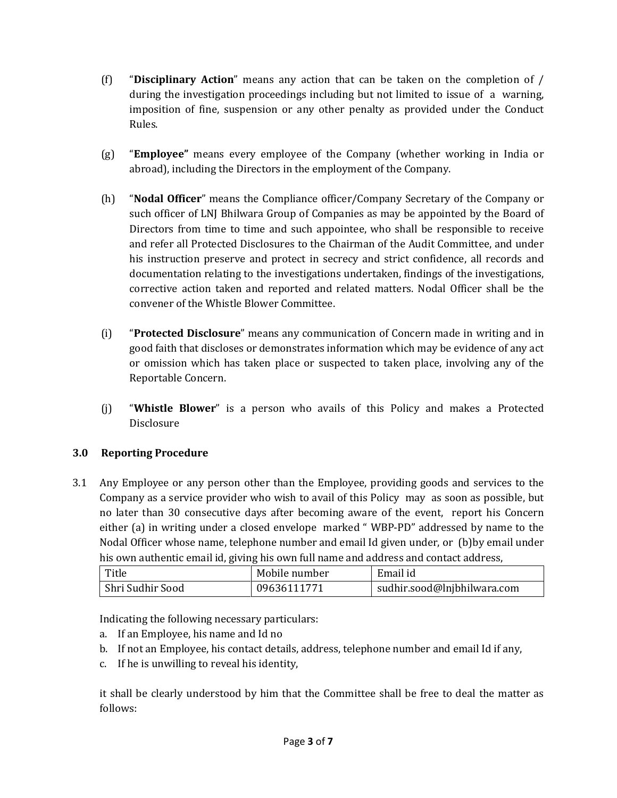- <sup>ì</sup>**Disciplinary Action**<sup>î</sup> means any action that can be taken on the completion of / "**Disciplinary Action**" means any action that can be taken on the completion of  $/$ <br>during the investigation proceedings including but not limited to issue of a warning.  $(f)$ **DISCI** during the investigation proceedings including but not limited to issue of a warning, imposition of fine, suspension or any other penalty as provided under the Conduct imposition or fine, suspension or any other penaity as provided under the Conduct<br>Rules.<br>**"Employee"** means every employee of the Company (whether working in India or Rules.
- **ee"** means every employee of the Company (whether work<br>including the Directors in the employment of the Company.  $(g)$ **Employee** means every employee or the Company (whether working in India or abroad), including the Directors in the employment of the Company.<br>**"Nodal Officer**" means the Compliance officer/Company Secretary of the Company abroad), including the Directors in the employment of the Company.
- ad), including the Directors in the employment of the Company.<br>**al Officer**" means the Compliance officer/Company Secretary of the Company or<br>officer of LNI Bhilwara Group of Companies as may be appointed by the Board of "**Nodal Officer**" means the Compliance officer/Company Secretary of the Company or<br>such officer of LNJ Bhilwara Group of Companies as may be appointed by the Board of<br>Directors from time to time and such appointee, who sha  $(h)$ andrefer all Protected Disclosures to the Chairman of the Audit Committee, and under<br>refer all Protected Disclosures to the Chairman of the Audit Committee, and under such officer of LNJ Bhilwara Group of Companies as may be appointed by the Board of in officer of LNJ Billwara Group of Companies as may be appointed by the Board of<br>ectors from time to time and such appointee, who shall be responsible to receive<br>refer all Protected Disclosures to the Chairman of the Audi directors from and refer all Protected Disclosures to the Chairman of the Audit Committee, and under<br>his instruction preserve and protect in secrecy and strict confidence, all records and<br>documentation relating to the investigations unde If Protected Disclosures to the Chairman of the Audit Committee, and under<br>tion preserve and protect in secrecy and strict confidence, all records and<br>tion relating to the investigations undertaken, findings of the investi nis instrt corrective action taken and reported and related matters. Nodal Officer shall be the rective action taken and reported and related matters. Nodal Officer shall be the<br>convener of the Whistle Blower Committee.<br>**"Protected Disclosure**" means any communication of Concern made in writing and in convener of the Whistle Blower Committee.
- faith that disclosure" means any communication of Concern made in writing and in<br>faith that discloses or demonstrates information which may be evidence of any act **"Protected Disclosure"** means any communication of Concern made in writing and in<br>good faith that discloses or demonstrates information which may be evidence of any act<br>or omission which has taken place or suspected to ta  $(i)$ **Protected** good faith that discloses or demonstrates information which may be evidence of any act<br>or omission which has taken place or suspected to taken place, involving any of the Reportable Concern.
- <sup>ì</sup>**Whistle Blower**<sup>î</sup> is <sup>a</sup> person who avails of this Policy and makes <sup>a</sup> Protected **Reporting Procedure**<br> **Reporting Procedure**

Reporting Procedure<br>Any Employee or any person other than the Employee, providing goods and services to the **g Proceaure**<br>oyee or any person other than the Employee, providing goods and services to the<br>as a service provider who wish to avail of this Policy may as soon as possible, but <sup>7</sup> Employee or any person other than the Employee, providing goods and services to the upany as a service provider who wish to avail of this Policy may as soon as possible, but later than 30 consecutive days after becomin Any E mployee or any person other than the Employee, providing goods and services to the<br>iny as a service provider who wish to avail of this Policy may as soon as possible, but<br>ir than 30 consecutive days after becoming aware of  $\mathsf{comp}_1$ Iny as a service provider who wish to avail of this Policy may as soon as possible, but<br>er than 30 consecutive days after becoming aware of the event, report his Concern<br>(a) in writing under a closed envelope marked "WBP-P hiso fater than 30 consecutive days after becoming aware of the event, report his contiher (a) in writing under a closed envelope marked "WBP-PD" addressed by name to lodal Officer whose name, telephone number and email Id gi whose name, telephone number and email Id given under, or (ntic email id, giving his own full name and address and contact<br>Mobile number<br>Mobile number<br>Email id roua his own authentic email id, giving his own full name and address and contact address,

| Title                                           | Mobile number | Email id                    |
|-------------------------------------------------|---------------|-----------------------------|
| Shri Sudhir Sood                                | 09636111771   | sudhir.sood@lnjbhilwara.com |
|                                                 |               |                             |
| Indicating the following necessary particulars: |               |                             |

If sudnif sood<br>
Cating the following necessary particulars:<br>
If an Employee, his name and Id no

- 
- шэ, с<br>.. Indicating the following necessary particulars:<br>a. If an Employee, his name and Id no<br>b. If not an Employee, his contact details, address, telephone number and email Id if any, cating the following necessary particulars<br>If an Employee, his name and Id no<br>If not an Employee, his contact details, ade<br>If he is unwilling to reveal his identitv.  $\mathbf{D}$
- c. If he is unwilling to reveal his identity,

If he is unwilling to reveal his identity,<br> **Shall be clearly understood by him that the Committee shall be free to deal the matter as<br>
Ilows:<br>
Page <b>3** of **7**  $follows:$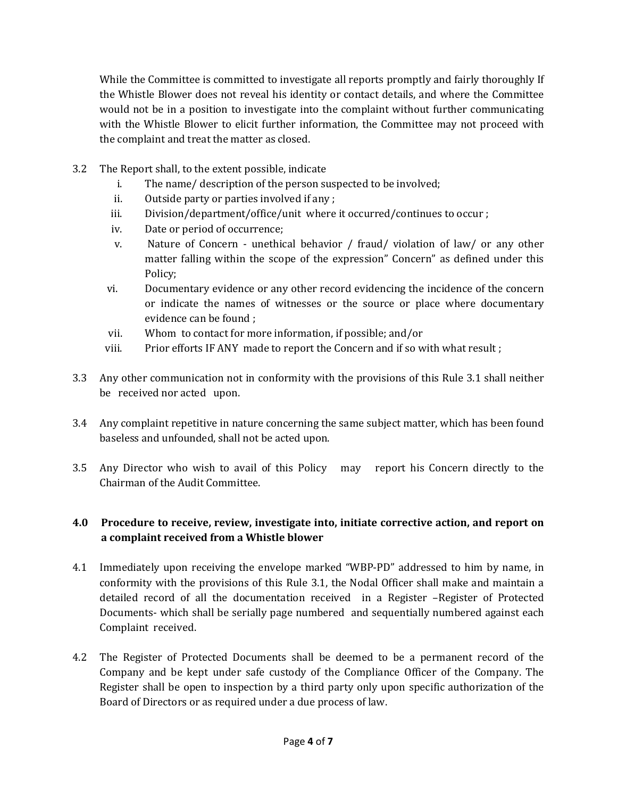the Committee is committed to investigate all reports promptly and fairly thoroughly If le the Committee is committed to investigate all reports promptly and fairly thoroughly If<br>Whistle Blower does not reveal his identity or contact details, and where the Committee the Committee is committed to investigate all reports promptly and fairly thoroughly If<br>istle Blower does not reveal his identity or contact details, and where the Committee<br>not be in a position to investigate into the com whit e the Committee is committed to investigate all reports promptly and rairly thorougnly if<br>Thistle Blower does not reveal his identity or contact details, and where the Committee<br>I not be in a position to investigate into t thewould not be in a position to investigate into the complaint without further communicating<br>with the Whistle Blower to elicit further information, the Committee may not proceed with with the whistle Blower to elicit further information, t<br>the complaint and treat the matter as closed.<br>The Report shall, to the extent possible, indicate i.

- 3.2 The Report shall, to the extent possible, indicate
- plaint and treat the matter as closed.<br>ort shall, to the extent possible, indicate<br>The name/ description of the person suspected to be involved: ort shall, to the extent possible, indicate<br>The name/ description of the person suspected<br>Outside party or parties involved if any : i.
	- Outside party or parties involved if any; ii.<br>iii.
	- ort snall, to the extent possible, indicate<br>The name/ description of the person suspected to be involved;<br>Outside party or parties involved if any ;<br>Division/department/office/unit\_where it occurred/continues to occur ; Uutside party or parties involved if any ;<br>Division/department/office/unit\_where it occurred/continues to occur ;<br>Date or period of occurrence;<br>Nature of Concern - unethical behavior / fraud/ violation of law/ or any other
	- iv. Date or period of occurrence;
	- falling within the scope of the expression" Concern" as defined under this<br>falling within the scope of the expression" Concern" as defined under this v. Nature or Concern - unethical behavior / fraud/ violation or law/ or any other<br>matter falling within the scope of the expression" Concern" as defined under this<br>Policy;<br>Documentary evidence or any other record evidencing t  $m$ Policy;
	- Documentary evidence or any other record evidencing the incidence of the concern tary evidence or any c<br>te the names of with<br>can be found : vi. Documentary evidence or any other record evidencing the incide<br>or indicate the names of witnesses or the source or place wl<br>evidence can be found ;<br>Whom to contact for more information, if possible; and/or
	-
	- evidence can be found ;<br>Whom to contact for more information, if possible; and/or<br>Prior efforts IF ANY made to report the Concern and if so with what result ; VII. Whom to contact for more information, if possible; and/or<br>viii. Prior efforts IF ANY made to report the Concern and if so with what result ;<br>Any other communication not in conformity with the provisions of this Rule 3 viii.
- viii. Prior efforts if ANY ma<br>3.3 Any other communication not in<br>be received nor acted upon. Any other communication not in conformity with the provisions of this Rule 3.1 shall neither<br>be received nor acted upon.<br>Any complaint repetitive in nature concerning the same subiect matter, which has been found be received nor acted upon.
- be received nor acted upon.<br>3.4 Any complaint repetitive in nature concerning the sa<br>baseless and unfounded, shall not be acted upon. Any complaint repetitive in nature concerning the same subject matter, which has been round<br>baseless and unfounded, shall not be acted upon.<br>Any Director who wish to avail of this Policy may report his Concern directly to baseless and unfounded, shall not be acted upon.
- baseless and unfounded, shall not be a<br>3.5 Any Director who wish to avail of the Audit Committee. **Procedure to receive, review, investigate into, initiate corrective action, and report on**

## **complaint is the convertional interpo**<br>**complaint received from a Whistle blower**<br>**complaint received from a Whistle blower** 4.V Proceaure to receive, review, investigate into, initiate corrective action, and report on<br>a complaint received from a Whistle blower<br>Immediately upon receiving the envelope marked "WBP-PD" addressed to him by name, in a complaint received from a Whistle blower

- Documents- which shall be serially page numbered and sequentially numbered against each<br>Complaint received.<br>The Register of Protected Documents shall be deemed to be a permanent record of the it received from a whistle blower<br>y upon receiving the envelope marked "WBP-PD" addressed to him by name, in<br>with the provisions of this Rule 3.1, the Nodal Officer shall make and maintain a Immediately upon receiving the envelope marked "WBP-PD" addressed to him by name, in<br>conformity with the provisions of this Rule 3.1, the Nodal Officer shall make and maintain a<br>detailed record of all the documentation rec immediately detailed record of all the documentation received in a Register -Register of Protected conformity with the provisions of this Rule 3.1, the Nodal Officer shall make and maintain a Documents- which shall be serially page numbered and sequentially numbered against each Complaint received.
- **4** egister of Protected Documents shall be deemed to my and be kept under safe custody of the Complian er shall be open to inspection by a third party only up of Directors or as required under a due process of law. received.<br>ter of Protected Documents shall be deemed to be a permanent record of the<br>and be kept under safe custody of the Compliance Officer of the Company. The ister of Protected Documents shall be deemed to be a permanent record of the<br>is and be kept under safe custody of the Compliance Officer of the Company. The<br>shall be open to inspection by a third party only upon specific a rue R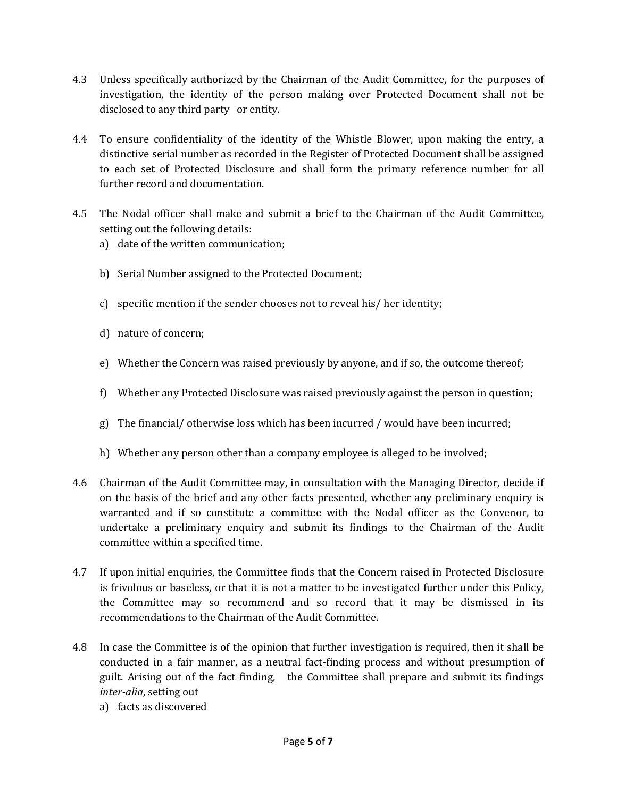- Unless specifically authorized by the Chairman of the Audit Committee, for the purposes of the identized by the Chairman of the Audit Committee, for the purposes of<br>the identity of the person making over Protected Document shall not be 4.3 Unless specifically authorized by the Channel investigation, the identity of the perso disclosed to any third party or entity. investigation, the identity or the person making over Protected Document shall not be<br>disclosed to any third party or entity.<br>To ensure confidentiality of the identity of the Whistle Blower, upon making the entry, a disclosed to any third party or entity.
- s any third party or entity.<br>Confidentiality of the identity of the Whistle Blower, upon making the entry, a<br>Serial number as recorded in the Register of Protected Document shall be assigned To ensure confidentiality of the identity of the Whistle Blower, upon making the entry, a<br>distinctive serial number as recorded in the Register of Protected Document shall be assigned<br>to each set of Protected Disclosure an 10 ens distinctive serial number as recorded in the Register of Protected Document shall be assigned to each set of Protected Disclosure and shall form the primary reference number for all further record and documentation. to each set or Protected Disclosure and shall form the primary reference number for all<br>further record and documentation.<br>The Nodal officer shall make and submit a brief to the Chairman of the Audit Committee.
- record and documentation.<br>dal officer shall make and s<br>out the following details: Nodal officer shall make and submit ing out the following details:<br>date of the written communication:
	- setting out the following details:<br>a) date of the written communication;
	- b) Serial Number assigned to the Protected Document;
	- Serial Number assigned to the Protected Document;<br>specific mention if the sender chooses not to reveal his / her identity; specific mention if the :<br>nature of concern;
	- d) nature of concern;
	- nature of concern;<br>Whether the Concern was raised previously by anyone, and if so, the outcome thereof; Whether the Concern was raised previously by anyone, and if so, the outcome thereof;<br>Whether any Protected Disclosure was raised previously against the person in question:
	- f) Whether any Protected Disclosure was raised previously against the person in question;
	- g) The financial/ otherwise loss which has been incurred / would have been incurred;
	- h) Whether any person other than a company employee is alleged to be involved;<br>Chairman of the Audit Committee may, in consultation with the Managing Director, decide if h) Whether any person other than a company employee is alleged to be involved;
- whether any person other than a company employee is alleged to be involved;<br>irman of the Audit Committee may, in consultation with the Managing Director, decide if<br>the basis of the brief and any other facts presented, whet f the Audit Committee may, in consultation with the Managing Director, decide if<br>s of the brief and any other facts presented, whether any preliminary enquiry is<br>and if so constitute a committee with the Nodal officer as t Chairman a preliminary enquiry and submitted may in consultation with the Managing Director, decide if<br>a preliminary enquiry is<br>and if so constitute a committee with the Nodal officer as the Convenor, to<br>a preliminary enquiry and s on the bas warranted and if so constitute a committee with the Nodal officer as the Convenor, to undertake a preliminary enquiry and submit its findings to the Chairman of the Audit undertake a preliminary enquiry and submit its findings to the Chairman of the Audit<br>committee within a specified time.<br>If upon initial enquiries, the Committee finds that the Concern raised in Protected Disclosure committee within a specified time.
- committee within a specified time.<br>If upon initial enquiries, the Committee finds that the Concern raised in Protected Disclosure<br>is frivolous or baseless, or that it is not a matter to be investigated further under this P on initial enquiries, the Committee finds that the Concern raised in Protected Disclosure<br>volous or baseless, or that it is not a matter to be investigated further under this Policy,<br>Committee may so recommend and so if upon initial enq 4.7 If upon initial enquiries, the Committee finds that the Concern<br>is frivolous or baseless, or that it is not a matter to be investig<br>the Committee may so recommend and so record that<br>recommendations to the Chairman of t In case the Committee is of the opinion that further investigation is required, then it shall be<br>In case the Committee is of the opinion that further investigation is required, then it shall be recommendations to the Chairman of the Audit Committee.
- e Committee is of the opinion that further invested in a fair manner, as a neutral fact-finding provide in a fair manner, as a neutral fact-finding provide in the Committee sh setting out s discovered<br>s discovered<br>Page 5 o iations to the Chairman of the Audit Committee.<br>Committee is of the opinion that further investigation is required, then it shall be<br>in a fair manner, as a neutral fact-finding process and without presumption of e the Committee is of the opinion that further investigation is required, then it shall be<br>incted in a fair manner, as a neutral fact-finding process and without presumption of<br>Arising out of the fact finding. The Committe *in case th* a)guilt. Arising out of the fact finding, the Committee shall prepare and submit its findings *inter-alia*, setting out a) facts as discovered
	-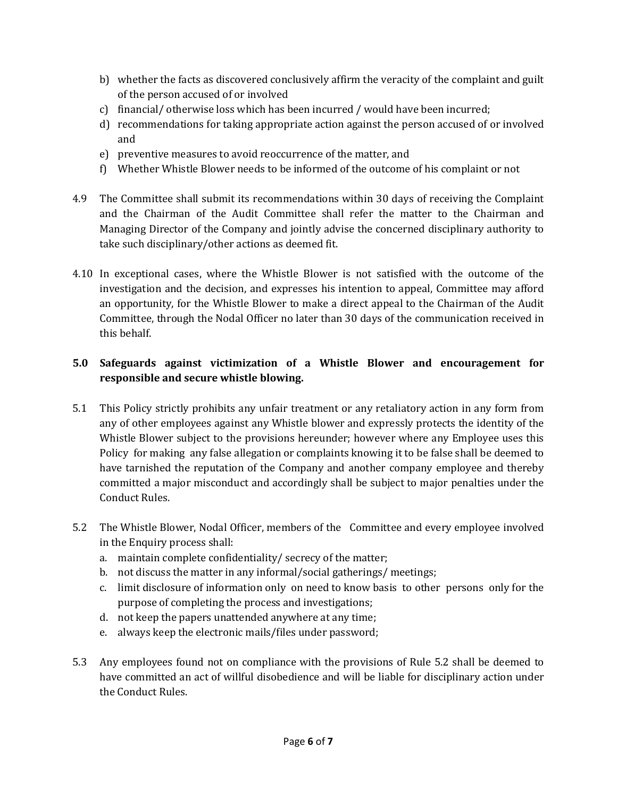- whether the facts as discovered conclusively affirm the veracity of the complaint and guilt nether the facts as discovered conclusively<br>the person accused of or involved whether the facts as discovered conclusively affirm the veracity of the complaint and the person accused of or involved<br>financial/ otherwise loss which has been incurred / would have been incurred: d)whether the racts as discovered conclusively affirm the veracity or the complaint and guilt<br>of the person accused of or involved<br>financial/ otherwise loss which has been incurred / would have been incurred;<br>recommendations of the person accused of or involved
- c) financial/otherwise loss which has been incurred / would have been incurred;
- mancial/ otherwise loss which has been incurred / would have been in<br>recommendations for taking appropriate action against the person acci<br>and<br>preventive measures to avoid reoccurrence of the matter, and  $\mathfrak{a}$ recommendations for taking appropriate action against the person accused of or involved<br>and<br>preventive measures to avoid reoccurrence of the matter, and<br>Whether Whistle Blower needs to be informed of the outcome of his com
- 
- e) preventive measures to avoid reoccurrence or the matter, and<br>f) Whether Whistle Blower needs to be informed of the outcome of his complaint or not<br>The Committee shall submit its recommendations within 30 days of receivi IJ -
- rether whistle Blower needs to be informed of the outcome of his complaint or not<br>Committee shall submit its recommendations within 30 days of receiving the Complaint<br>the Chairman of the Audit Committee shall refer the mat iittee shall submit its recommendations within 30 days of receiving the Complaint<br>Chairman of the Audit Committee shall refer the matter to the Chairman and<br>Director of the Company and jointly advise the concerned discipli t ue and the Chairman of the Audit Committee shall refer the matter to the Chairman and Managing Director of the Company and jointly advise the concerned disciplinary authority to managing Director or the Company and Jointry advise the concerned disciplinary authority to<br>take such disciplinary/other actions as deemed fit.<br>In exceptional cases, where the Whistle Blower is not satisfied with the outco take such disciplinary/other actions as deemed fit.
- ipinary/other actions as deemed nt.<br>Il cases, where the Whistle Blower is not satisfied with the outcome of the<br>and the decision, and expresses his intention to appeal, Committee may afford exceptional cases, where the Whistle Blower is not satisfied with the outcome of the<br>estigation and the decision, and expresses his intention to appeal, Committee may afford<br>opportunity, for the Whistle Blower to make a di in exceptio than data cases, where the whistle Blower is not satisfied with the outcome or the<br>in and the decision, and expresses his intention to appeal, Committee may afford<br>ity, for the Whistle Blower to make a direct appeal to the inve an opportunity, for the Whistle Blower to make a direct appeal to the Chairman of the Audit Committee, through the Nodal Officer no later than 30 days of the communication received in **Safeguards against victimization of <sup>a</sup> Whistle Blower and encouragement for** this behalf.

## this behalf.<br>**5.0 Safeguards against victimization of a 1<br>responsible and secure whistle blowing.** Sareguards against victimization or a whistle Blower and encouragement for<br>responsible and secure whistle blowing.<br>This Policy strictly prohibits any unfair treatment or any retaliatory action in any form from responsible and secure whistle blowing.

- **Folicy strictly prohibits any unfair treatment or any retaliatory action in any form from**<br>The policy strictly prohibits any unfair treatment or any retaliatory action in any form from<br>The other employees against any Whis icy strictly prohibits any unfair treatment or any retaliatory action in any form from<br>ther employees against any Whistle blower and expressly protects the identity of the<br>Blower subiect to the provisions hereunder: howeve I fils P for making any false allegation or complaints knowing it to be false shall be deemed to the provisions hereunder; however where any Employee uses this for making any false allegation or complaints knowing it to be false sh any of other employees against any Whistle blower and expressly protects the identity of the t other employees against any whistle blower and expressly protects the identity of the<br>tle Blower subject to the provisions hereunder; however where any Employee uses this<br>to for making any false allegation or complaints whistle Bio wer subject to the provisions nereunder; nowever where any Employee uses this<br>naking any false allegation or complaints knowing it to be false shall be deemed to<br>hed the reputation of the Company and another company employ Policy to have tarnished the reputation of the Company and another company employee and thereby committed a major misconduct and accordingly shall be subject to major penalties under the committed a major misconduct and accordingly shall be subject to major penalties under the<br>Conduct Rules.<br>The Whistle Blower. Nodal Officer, members of the Committee and every employee involved Conduct Rules.
- nauct Ruies.<br>e Whistle Blower, Nodal Office<br>the Enquiry process shall: The Whistle Blower, Nodal Officer, members of the Committee a<br>in the Enquiry process shall:<br>a. maintain complete confidentiality/ secrecy of the matter: b.whistie Blower, Nodal Officer, members of the Committee and every e<br>ne Enquiry process shall:<br>maintain complete confidentiality/ secrecy of the matter;<br>not discuss the matter in any informal/social gatherings/ meetings: in the Enquiry process shall:
	- a. maintain complete confidentiality/ secrecy of the matter;
	- le Enquiry process snaii:<br>maintain complete confidentiality/ secrecy of the matter;<br>not discuss the matter in any informal/social gatherings/ meetings;<br>limit disclosure of information only on need to know basis to other d.
	- complete connuentiality/ secrecy of the matter;<br>iss the matter in any informal/social gatherings/ r<br>closure of information only on need to know basis<br>of completing the process and investigations; not discuss the matter in any informal/social gatherings/ m<br>limit disclosure of information only on need to know basis<br>purpose of completing the process and investigations;<br>not keep the papers unattended anywhere at any ti e.purpose of completing the process and investigations;<br>d. not keep the papers unattended anywhere at any time;
	-
	- e. always keep the electronic mails/files under password;
- nce with the provise<br>dience and will be<br>Page **6** of **7** a. ) not keep the papers unattended anywnere at any time;<br>e. ) always keep the electronic mails/files under password;<br>Any emplovees found not on compliance with the provisions of Rule 5.2 shall be deemed to ways keep the electronic mails/files under password;<br>employees found not on compliance with the provisions of Rule 5.2 shall be deemed to<br>committed an act of willful disobedience and will be liable for disciplinary action employees for<br>Committed an<br>Conduct Rules.